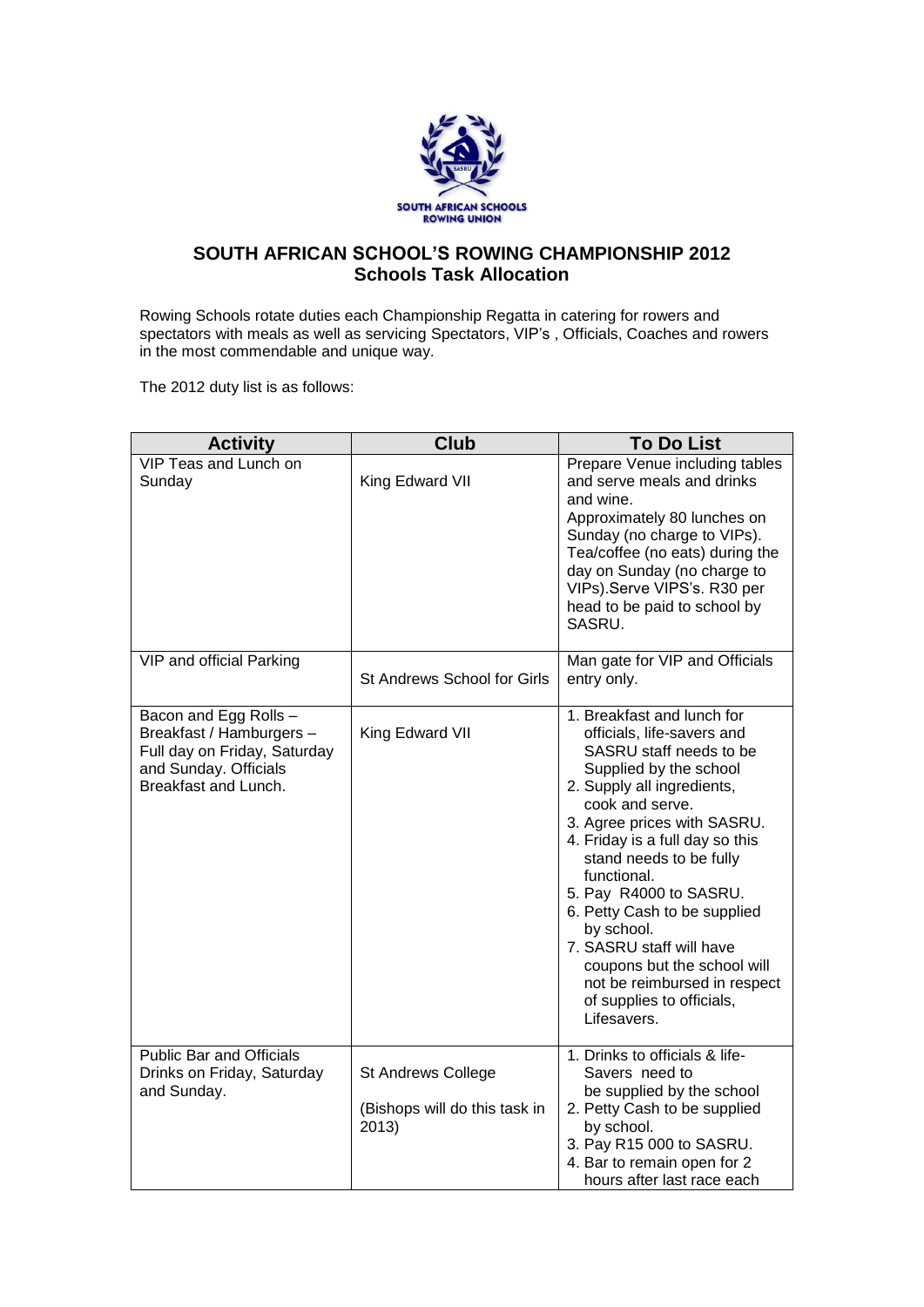

## **SOUTH AFRICAN SCHOOL'S ROWING CHAMPIONSHIP 2012 Schools Task Allocation**

Rowing Schools rotate duties each Championship Regatta in catering for rowers and spectators with meals as well as servicing Spectators, VIP's , Officials, Coaches and rowers in the most commendable and unique way.

The 2012 duty list is as follows:

| <b>Activity</b>                                                                                                                    | <b>Club</b>                                                  | <b>To Do List</b>                                                                                                                                                                                                                                                                                                                                                                                                                                                                         |
|------------------------------------------------------------------------------------------------------------------------------------|--------------------------------------------------------------|-------------------------------------------------------------------------------------------------------------------------------------------------------------------------------------------------------------------------------------------------------------------------------------------------------------------------------------------------------------------------------------------------------------------------------------------------------------------------------------------|
| VIP Teas and Lunch on<br>Sunday                                                                                                    | King Edward VII                                              | Prepare Venue including tables<br>and serve meals and drinks<br>and wine.<br>Approximately 80 lunches on<br>Sunday (no charge to VIPs).<br>Tea/coffee (no eats) during the<br>day on Sunday (no charge to<br>VIPs).Serve VIPS's. R30 per<br>head to be paid to school by<br>SASRU.                                                                                                                                                                                                        |
| VIP and official Parking                                                                                                           | St Andrews School for Girls                                  | Man gate for VIP and Officials<br>entry only.                                                                                                                                                                                                                                                                                                                                                                                                                                             |
| Bacon and Egg Rolls -<br>Breakfast / Hamburgers -<br>Full day on Friday, Saturday<br>and Sunday. Officials<br>Breakfast and Lunch. | King Edward VII                                              | 1. Breakfast and lunch for<br>officials, life-savers and<br>SASRU staff needs to be<br>Supplied by the school<br>2. Supply all ingredients,<br>cook and serve.<br>3. Agree prices with SASRU.<br>4. Friday is a full day so this<br>stand needs to be fully<br>functional.<br>5. Pay R4000 to SASRU.<br>6. Petty Cash to be supplied<br>by school.<br>7. SASRU staff will have<br>coupons but the school will<br>not be reimbursed in respect<br>of supplies to officials,<br>Lifesavers. |
| <b>Public Bar and Officials</b><br>Drinks on Friday, Saturday<br>and Sunday.                                                       | St Andrews College<br>(Bishops will do this task in<br>2013) | 1. Drinks to officials & life-<br>Savers need to<br>be supplied by the school<br>2. Petty Cash to be supplied<br>by school.<br>3. Pay R15 000 to SASRU.<br>4. Bar to remain open for 2<br>hours after last race each                                                                                                                                                                                                                                                                      |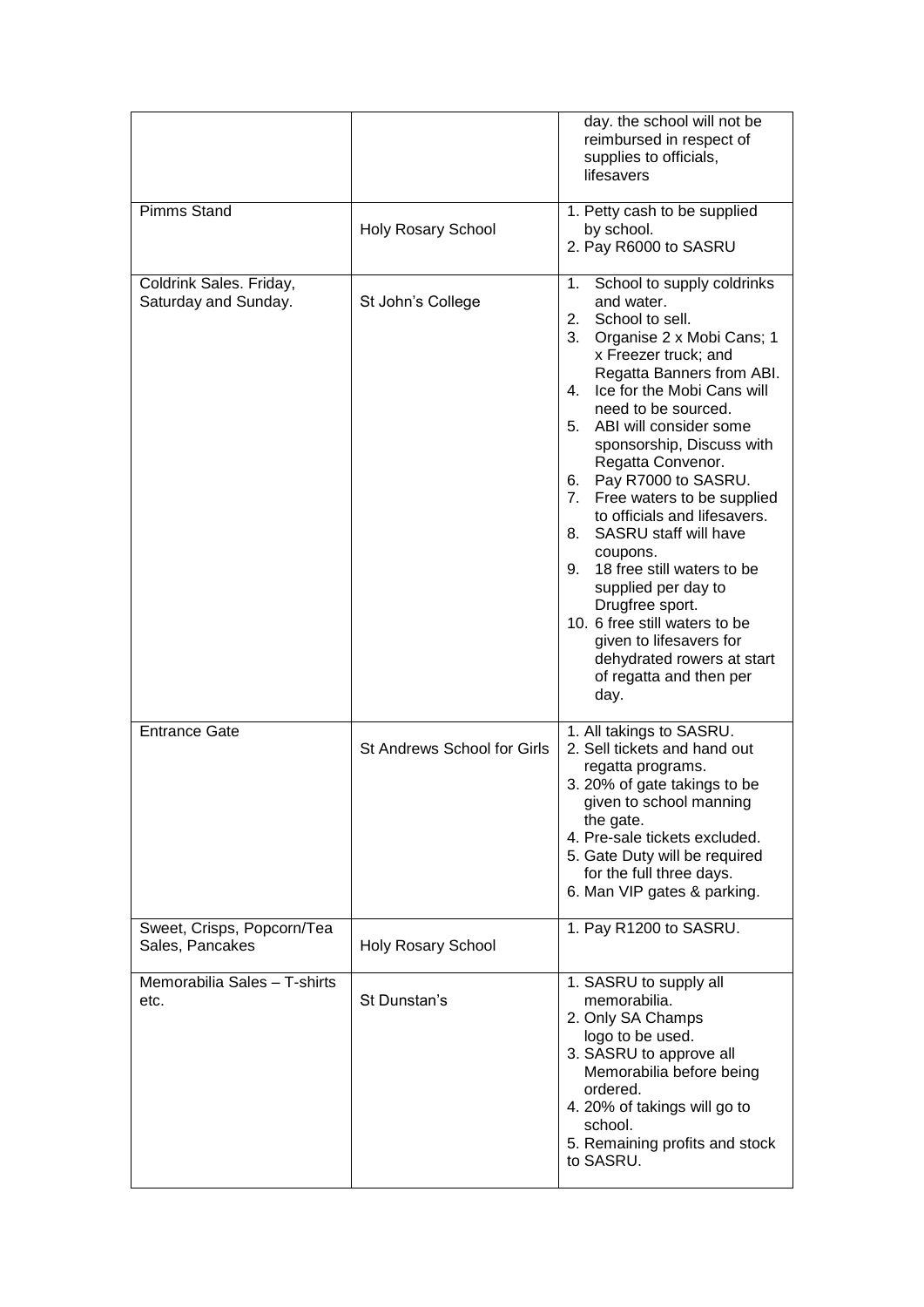|                                                 |                             | day. the school will not be<br>reimbursed in respect of<br>supplies to officials,<br>lifesavers                                                                                                                                                                                                                                                                                                                                                                                                                                                                                                                                                                     |
|-------------------------------------------------|-----------------------------|---------------------------------------------------------------------------------------------------------------------------------------------------------------------------------------------------------------------------------------------------------------------------------------------------------------------------------------------------------------------------------------------------------------------------------------------------------------------------------------------------------------------------------------------------------------------------------------------------------------------------------------------------------------------|
| <b>Pimms Stand</b>                              | <b>Holy Rosary School</b>   | 1. Petty cash to be supplied<br>by school.<br>2. Pay R6000 to SASRU                                                                                                                                                                                                                                                                                                                                                                                                                                                                                                                                                                                                 |
| Coldrink Sales. Friday,<br>Saturday and Sunday. | St John's College           | School to supply coldrinks<br>1.<br>and water.<br>2.<br>School to sell.<br>3.<br>Organise 2 x Mobi Cans; 1<br>x Freezer truck; and<br>Regatta Banners from ABI.<br>Ice for the Mobi Cans will<br>4.<br>need to be sourced.<br>5.<br>ABI will consider some<br>sponsorship, Discuss with<br>Regatta Convenor.<br>Pay R7000 to SASRU.<br>6.<br>Free waters to be supplied<br>7.<br>to officials and lifesavers.<br>SASRU staff will have<br>8.<br>coupons.<br>18 free still waters to be<br>9.<br>supplied per day to<br>Drugfree sport.<br>10. 6 free still waters to be<br>given to lifesavers for<br>dehydrated rowers at start<br>of regatta and then per<br>day. |
| <b>Entrance Gate</b>                            | St Andrews School for Girls | 1. All takings to SASRU.<br>2. Sell tickets and hand out<br>regatta programs.<br>3. 20% of gate takings to be<br>given to school manning<br>the gate.<br>4. Pre-sale tickets excluded.<br>5. Gate Duty will be required<br>for the full three days.<br>6. Man VIP gates & parking.                                                                                                                                                                                                                                                                                                                                                                                  |
| Sweet, Crisps, Popcorn/Tea<br>Sales, Pancakes   | <b>Holy Rosary School</b>   | 1. Pay R1200 to SASRU.                                                                                                                                                                                                                                                                                                                                                                                                                                                                                                                                                                                                                                              |
| Memorabilia Sales - T-shirts<br>etc.            | St Dunstan's                | 1. SASRU to supply all<br>memorabilia.<br>2. Only SA Champs<br>logo to be used.<br>3. SASRU to approve all<br>Memorabilia before being<br>ordered.<br>4. 20% of takings will go to<br>school.<br>5. Remaining profits and stock<br>to SASRU.                                                                                                                                                                                                                                                                                                                                                                                                                        |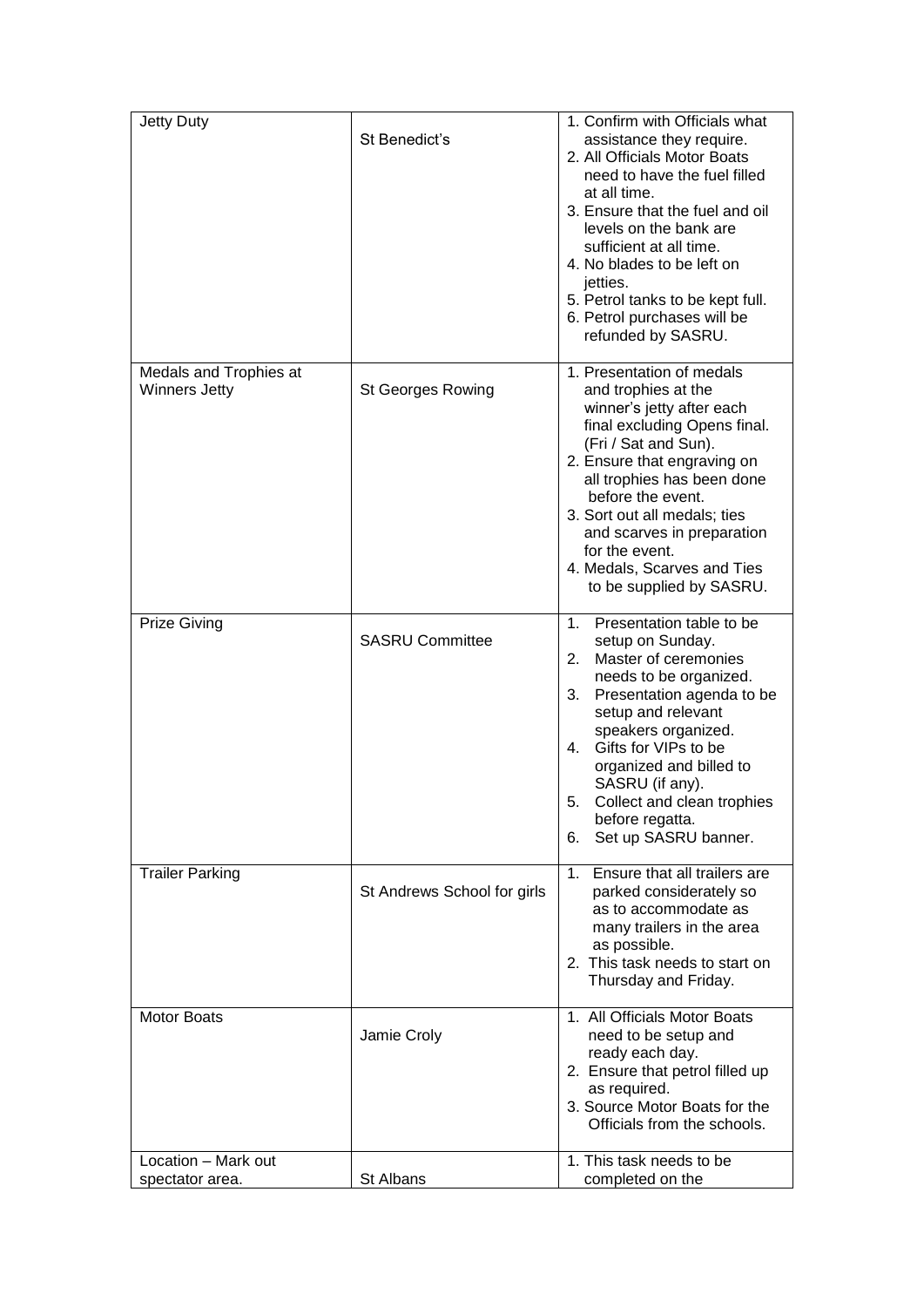| Jetty Duty                                     | St Benedict's               | 1. Confirm with Officials what<br>assistance they require.<br>2. All Officials Motor Boats<br>need to have the fuel filled<br>at all time.<br>3. Ensure that the fuel and oil<br>levels on the bank are<br>sufficient at all time.<br>4. No blades to be left on<br>jetties.<br>5. Petrol tanks to be kept full.<br>6. Petrol purchases will be<br>refunded by SASRU.   |
|------------------------------------------------|-----------------------------|-------------------------------------------------------------------------------------------------------------------------------------------------------------------------------------------------------------------------------------------------------------------------------------------------------------------------------------------------------------------------|
| Medals and Trophies at<br><b>Winners Jetty</b> | <b>St Georges Rowing</b>    | 1. Presentation of medals<br>and trophies at the<br>winner's jetty after each<br>final excluding Opens final.<br>(Fri / Sat and Sun).<br>2. Ensure that engraving on<br>all trophies has been done<br>before the event.<br>3. Sort out all medals; ties<br>and scarves in preparation<br>for the event.<br>4. Medals, Scarves and Ties<br>to be supplied by SASRU.      |
| <b>Prize Giving</b>                            | <b>SASRU Committee</b>      | 1 <sub>1</sub><br>Presentation table to be<br>setup on Sunday.<br>2.<br>Master of ceremonies<br>needs to be organized.<br>3.<br>Presentation agenda to be<br>setup and relevant<br>speakers organized.<br>4.<br>Gifts for VIPs to be<br>organized and billed to<br>SASRU (if any).<br>Collect and clean trophies<br>5.<br>before regatta.<br>Set up SASRU banner.<br>6. |
| <b>Trailer Parking</b>                         | St Andrews School for girls | 1 <sup>1</sup><br>Ensure that all trailers are<br>parked considerately so<br>as to accommodate as<br>many trailers in the area<br>as possible.<br>2. This task needs to start on<br>Thursday and Friday.                                                                                                                                                                |
| <b>Motor Boats</b>                             | Jamie Croly                 | 1. All Officials Motor Boats<br>need to be setup and<br>ready each day.<br>2. Ensure that petrol filled up<br>as required.<br>3. Source Motor Boats for the<br>Officials from the schools.                                                                                                                                                                              |
| Location - Mark out                            |                             | 1. This task needs to be                                                                                                                                                                                                                                                                                                                                                |
| spectator area.                                | St Albans                   | completed on the                                                                                                                                                                                                                                                                                                                                                        |